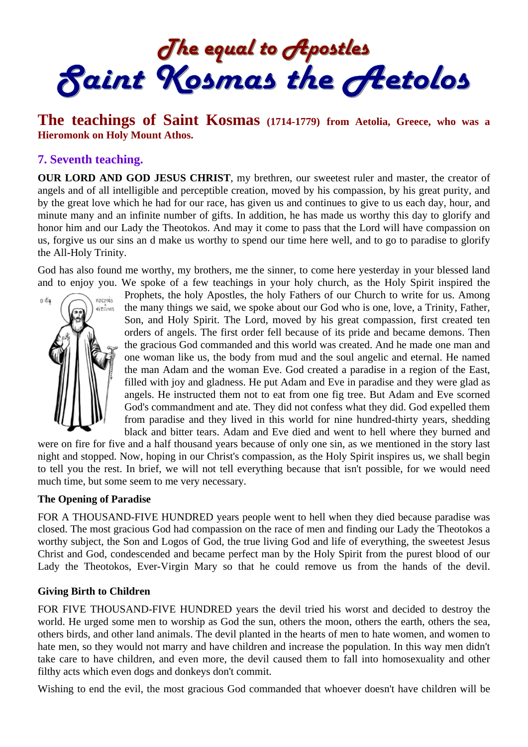The equal to Apostles<br>Saint Kosmas the Aetolos

# **The teachings of Saint Kosmas (1714-1779) from Aetolia, Greece, who was a Hieromonk on Holy Mount Athos.**

### **7. Seventh teaching.**

**OUR LORD AND GOD JESUS CHRIST**, my brethren, our sweetest ruler and master, the creator of angels and of all intelligible and perceptible creation, moved by his compassion, by his great purity, and by the great love which he had for our race, has given us and continues to give to us each day, hour, and minute many and an infinite number of gifts. In addition, he has made us worthy this day to glorify and honor him and our Lady the Theotokos. And may it come to pass that the Lord will have compassion on us, forgive us our sins an d make us worthy to spend our time here well, and to go to paradise to glorify the All-Holy Trinity.

God has also found me worthy, my brothers, me the sinner, to come here yesterday in your blessed land and to enjoy you. We spoke of a few teachings in your holy church, as the Holy Spirit inspired the



Prophets, the holy Apostles, the holy Fathers of our Church to write for us. Among the many things we said, we spoke about our God who is one, love, a Trinity, Father, Son, and Holy Spirit. The Lord, moved by his great compassion, first created ten orders of angels. The first order fell because of its pride and became demons. Then the gracious God commanded and this world was created. And he made one man and one woman like us, the body from mud and the soul angelic and eternal. He named the man Adam and the woman Eve. God created a paradise in a region of the East, filled with joy and gladness. He put Adam and Eve in paradise and they were glad as angels. He instructed them not to eat from one fig tree. But Adam and Eve scorned God's commandment and ate. They did not confess what they did. God expelled them from paradise and they lived in this world for nine hundred-thirty years, shedding black and bitter tears. Adam and Eve died and went to hell where they burned and

were on fire for five and a half thousand years because of only one sin, as we mentioned in the story last night and stopped. Now, hoping in our Christ's compassion, as the Holy Spirit inspires us, we shall begin to tell you the rest. In brief, we will not tell everything because that isn't possible, for we would need much time, but some seem to me very necessary.

#### **The Opening of Paradise**

FOR A THOUSAND-FIVE HUNDRED years people went to hell when they died because paradise was closed. The most gracious God had compassion on the race of men and finding our Lady the Theotokos a worthy subject, the Son and Logos of God, the true living God and life of everything, the sweetest Jesus Christ and God, condescended and became perfect man by the Holy Spirit from the purest blood of our Lady the Theotokos, Ever-Virgin Mary so that he could remove us from the hands of the devil.

#### **Giving Birth to Children**

FOR FIVE THOUSAND-FIVE HUNDRED years the devil tried his worst and decided to destroy the world. He urged some men to worship as God the sun, others the moon, others the earth, others the sea, others birds, and other land animals. The devil planted in the hearts of men to hate women, and women to hate men, so they would not marry and have children and increase the population. In this way men didn't take care to have children, and even more, the devil caused them to fall into homosexuality and other filthy acts which even dogs and donkeys don't commit.

Wishing to end the evil, the most gracious God commanded that whoever doesn't have children will be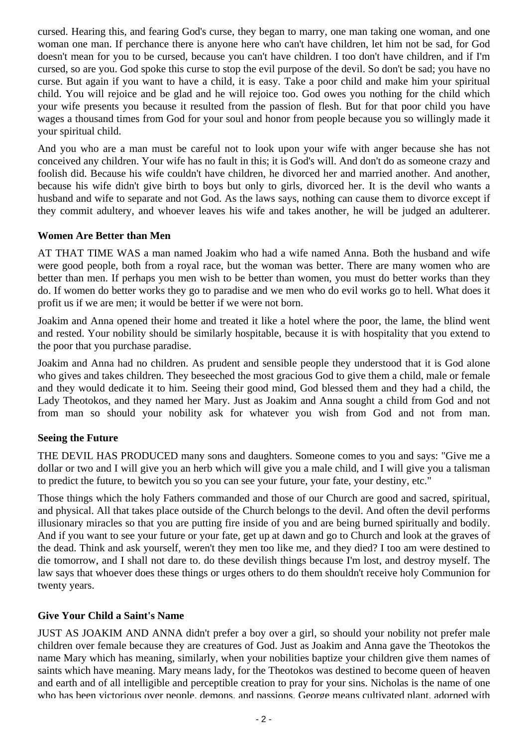cursed. Hearing this, and fearing God's curse, they began to marry, one man taking one woman, and one woman one man. If perchance there is anyone here who can't have children, let him not be sad, for God doesn't mean for you to be cursed, because you can't have children. I too don't have children, and if I'm cursed, so are you. God spoke this curse to stop the evil purpose of the devil. So don't be sad; you have no curse. But again if you want to have a child, it is easy. Take a poor child and make him your spiritual child. You will rejoice and be glad and he will rejoice too. God owes you nothing for the child which your wife presents you because it resulted from the passion of flesh. But for that poor child you have wages a thousand times from God for your soul and honor from people because you so willingly made it your spiritual child.

And you who are a man must be careful not to look upon your wife with anger because she has not conceived any children. Your wife has no fault in this; it is God's will. And don't do as someone crazy and foolish did. Because his wife couldn't have children, he divorced her and married another. And another, because his wife didn't give birth to boys but only to girls, divorced her. It is the devil who wants a husband and wife to separate and not God. As the laws says, nothing can cause them to divorce except if they commit adultery, and whoever leaves his wife and takes another, he will be judged an adulterer.

### **Women Are Better than Men**

AT THAT TIME WAS a man named Joakim who had a wife named Anna. Both the husband and wife were good people, both from a royal race, but the woman was better. There are many women who are better than men. If perhaps you men wish to be better than women, you must do better works than they do. If women do better works they go to paradise and we men who do evil works go to hell. What does it profit us if we are men; it would be better if we were not born.

Joakim and Anna opened their home and treated it like a hotel where the poor, the lame, the blind went and rested. Your nobility should be similarly hospitable, because it is with hospitality that you extend to the poor that you purchase paradise.

Joakim and Anna had no children. As prudent and sensible people they understood that it is God alone who gives and takes children. They beseeched the most gracious God to give them a child, male or female and they would dedicate it to him. Seeing their good mind, God blessed them and they had a child, the Lady Theotokos, and they named her Mary. Just as Joakim and Anna sought a child from God and not from man so should your nobility ask for whatever you wish from God and not from man.

## **Seeing the Future**

THE DEVIL HAS PRODUCED many sons and daughters. Someone comes to you and says: "Give me a dollar or two and I will give you an herb which will give you a male child, and I will give you a talisman to predict the future, to bewitch you so you can see your future, your fate, your destiny, etc."

Those things which the holy Fathers commanded and those of our Church are good and sacred, spiritual, and physical. All that takes place outside of the Church belongs to the devil. And often the devil performs illusionary miracles so that you are putting fire inside of you and are being burned spiritually and bodily. And if you want to see your future or your fate, get up at dawn and go to Church and look at the graves of the dead. Think and ask yourself, weren't they men too like me, and they died? I too am were destined to die tomorrow, and I shall not dare to. do these devilish things because I'm lost, and destroy myself. The law says that whoever does these things or urges others to do them shouldn't receive holy Communion for twenty years.

## **Give Your Child a Saint's Name**

JUST AS JOAKIM AND ANNA didn't prefer a boy over a girl, so should your nobility not prefer male children over female because they are creatures of God. Just as Joakim and Anna gave the Theotokos the name Mary which has meaning, similarly, when your nobilities baptize your children give them names of saints which have meaning. Mary means lady, for the Theotokos was destined to become queen of heaven and earth and of all intelligible and perceptible creation to pray for your sins. Nicholas is the name of one who has been victorious over people, demons, and passions. George means cultivated plant, adorned with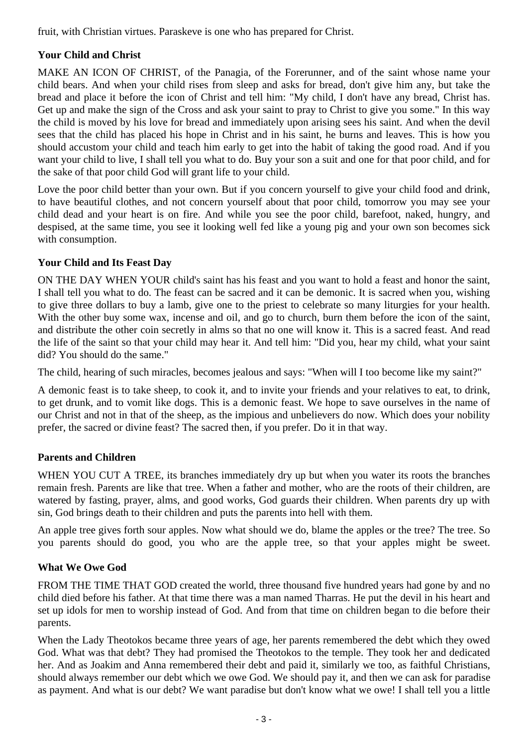fruit, with Christian virtues. Paraskeve is one who has prepared for Christ.

## **Your Child and Christ**

MAKE AN ICON OF CHRIST, of the Panagia, of the Forerunner, and of the saint whose name your child bears. And when your child rises from sleep and asks for bread, don't give him any, but take the bread and place it before the icon of Christ and tell him: "My child, I don't have any bread, Christ has. Get up and make the sign of the Cross and ask your saint to pray to Christ to give you some." In this way the child is moved by his love for bread and immediately upon arising sees his saint. And when the devil sees that the child has placed his hope in Christ and in his saint, he burns and leaves. This is how you should accustom your child and teach him early to get into the habit of taking the good road. And if you want your child to live, I shall tell you what to do. Buy your son a suit and one for that poor child, and for the sake of that poor child God will grant life to your child.

Love the poor child better than your own. But if you concern yourself to give your child food and drink, to have beautiful clothes, and not concern yourself about that poor child, tomorrow you may see your child dead and your heart is on fire. And while you see the poor child, barefoot, naked, hungry, and despised, at the same time, you see it looking well fed like a young pig and your own son becomes sick with consumption.

## **Your Child and Its Feast Day**

ON THE DAY WHEN YOUR child's saint has his feast and you want to hold a feast and honor the saint, I shall tell you what to do. The feast can be sacred and it can be demonic. It is sacred when you, wishing to give three dollars to buy a lamb, give one to the priest to celebrate so many liturgies for your health. With the other buy some wax, incense and oil, and go to church, burn them before the icon of the saint, and distribute the other coin secretly in alms so that no one will know it. This is a sacred feast. And read the life of the saint so that your child may hear it. And tell him: "Did you, hear my child, what your saint did? You should do the same."

The child, hearing of such miracles, becomes jealous and says: "When will I too become like my saint?"

A demonic feast is to take sheep, to cook it, and to invite your friends and your relatives to eat, to drink, to get drunk, and to vomit like dogs. This is a demonic feast. We hope to save ourselves in the name of our Christ and not in that of the sheep, as the impious and unbelievers do now. Which does your nobility prefer, the sacred or divine feast? The sacred then, if you prefer. Do it in that way.

## **Parents and Children**

WHEN YOU CUT A TREE, its branches immediately dry up but when you water its roots the branches remain fresh. Parents are like that tree. When a father and mother, who are the roots of their children, are watered by fasting, prayer, alms, and good works, God guards their children. When parents dry up with sin, God brings death to their children and puts the parents into hell with them.

An apple tree gives forth sour apples. Now what should we do, blame the apples or the tree? The tree. So you parents should do good, you who are the apple tree, so that your apples might be sweet.

## **What We Owe God**

FROM THE TIME THAT GOD created the world, three thousand five hundred years had gone by and no child died before his father. At that time there was a man named Tharras. He put the devil in his heart and set up idols for men to worship instead of God. And from that time on children began to die before their parents.

When the Lady Theotokos became three years of age, her parents remembered the debt which they owed God. What was that debt? They had promised the Theotokos to the temple. They took her and dedicated her. And as Joakim and Anna remembered their debt and paid it, similarly we too, as faithful Christians, should always remember our debt which we owe God. We should pay it, and then we can ask for paradise as payment. And what is our debt? We want paradise but don't know what we owe! I shall tell you a little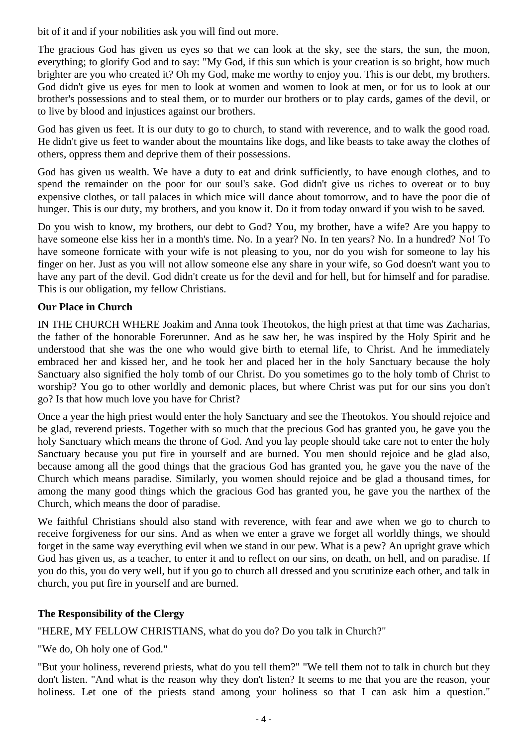bit of it and if your nobilities ask you will find out more.

The gracious God has given us eyes so that we can look at the sky, see the stars, the sun, the moon, everything; to glorify God and to say: "My God, if this sun which is your creation is so bright, how much brighter are you who created it? Oh my God, make me worthy to enjoy you. This is our debt, my brothers. God didn't give us eyes for men to look at women and women to look at men, or for us to look at our brother's possessions and to steal them, or to murder our brothers or to play cards, games of the devil, or to live by blood and injustices against our brothers.

God has given us feet. It is our duty to go to church, to stand with reverence, and to walk the good road. He didn't give us feet to wander about the mountains like dogs, and like beasts to take away the clothes of others, oppress them and deprive them of their possessions.

God has given us wealth. We have a duty to eat and drink sufficiently, to have enough clothes, and to spend the remainder on the poor for our soul's sake. God didn't give us riches to overeat or to buy expensive clothes, or tall palaces in which mice will dance about tomorrow, and to have the poor die of hunger. This is our duty, my brothers, and you know it. Do it from today onward if you wish to be saved.

Do you wish to know, my brothers, our debt to God? You, my brother, have a wife? Are you happy to have someone else kiss her in a month's time. No. In a year? No. In ten years? No. In a hundred? No! To have someone fornicate with your wife is not pleasing to you, nor do you wish for someone to lay his finger on her. Just as you will not allow someone else any share in your wife, so God doesn't want you to have any part of the devil. God didn't create us for the devil and for hell, but for himself and for paradise. This is our obligation, my fellow Christians.

### **Our Place in Church**

IN THE CHURCH WHERE Joakim and Anna took Theotokos, the high priest at that time was Zacharias, the father of the honorable Forerunner. And as he saw her, he was inspired by the Holy Spirit and he understood that she was the one who would give birth to eternal life, to Christ. And he immediately embraced her and kissed her, and he took her and placed her in the holy Sanctuary because the holy Sanctuary also signified the holy tomb of our Christ. Do you sometimes go to the holy tomb of Christ to worship? You go to other worldly and demonic places, but where Christ was put for our sins you don't go? Is that how much love you have for Christ?

Once a year the high priest would enter the holy Sanctuary and see the Theotokos. You should rejoice and be glad, reverend priests. Together with so much that the precious God has granted you, he gave you the holy Sanctuary which means the throne of God. And you lay people should take care not to enter the holy Sanctuary because you put fire in yourself and are burned. You men should rejoice and be glad also, because among all the good things that the gracious God has granted you, he gave you the nave of the Church which means paradise. Similarly, you women should rejoice and be glad a thousand times, for among the many good things which the gracious God has granted you, he gave you the narthex of the Church, which means the door of paradise.

We faithful Christians should also stand with reverence, with fear and awe when we go to church to receive forgiveness for our sins. And as when we enter a grave we forget all worldly things, we should forget in the same way everything evil when we stand in our pew. What is a pew? An upright grave which God has given us, as a teacher, to enter it and to reflect on our sins, on death, on hell, and on paradise. If you do this, you do very well, but if you go to church all dressed and you scrutinize each other, and talk in church, you put fire in yourself and are burned.

### **The Responsibility of the Clergy**

"HERE, MY FELLOW CHRISTIANS, what do you do? Do you talk in Church?"

"We do, Oh holy one of God."

"But your holiness, reverend priests, what do you tell them?" "We tell them not to talk in church but they don't listen. "And what is the reason why they don't listen? It seems to me that you are the reason, your holiness. Let one of the priests stand among your holiness so that I can ask him a question."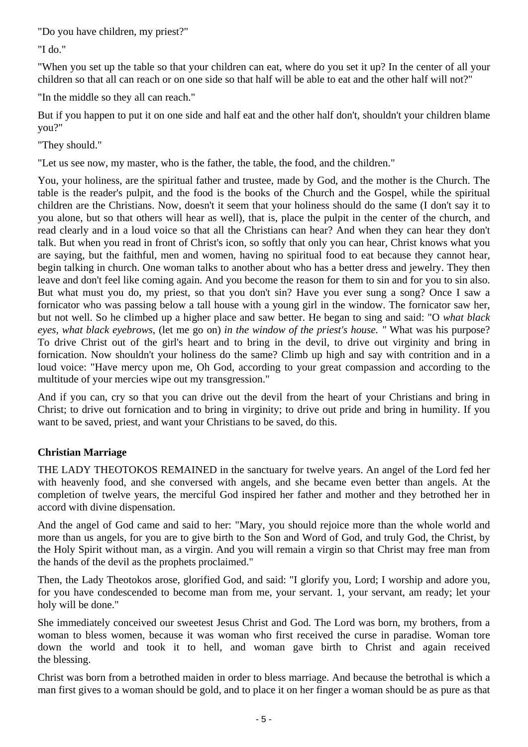"Do you have children, my priest?"

"I do."

"When you set up the table so that your children can eat, where do you set it up? In the center of all your children so that all can reach or on one side so that half will be able to eat and the other half will not?"

"In the middle so they all can reach."

But if you happen to put it on one side and half eat and the other half don't, shouldn't your children blame you?"

"They should."

"Let us see now, my master, who is the father, the table, the food, and the children."

You, your holiness, are the spiritual father and trustee, made by God, and the mother is the Church. The table is the reader's pulpit, and the food is the books of the Church and the Gospel, while the spiritual children are the Christians. Now, doesn't it seem that your holiness should do the same (I don't say it to you alone, but so that others will hear as well), that is, place the pulpit in the center of the church, and read clearly and in a loud voice so that all the Christians can hear? And when they can hear they don't talk. But when you read in front of Christ's icon, so softly that only you can hear, Christ knows what you are saying, but the faithful, men and women, having no spiritual food to eat because they cannot hear, begin talking in church. One woman talks to another about who has a better dress and jewelry. They then leave and don't feel like coming again. And you become the reason for them to sin and for you to sin also. But what must you do, my priest, so that you don't sin? Have you ever sung a song? Once I saw a fornicator who was passing below a tall house with a young girl in the window. The fornicator saw her, but not well. So he climbed up a higher place and saw better. He began to sing and said: "O *what black eyes, what black eyebrows,* (let me go on) *in the window of the priest's house. "* What was his purpose? To drive Christ out of the girl's heart and to bring in the devil, to drive out virginity and bring in fornication. Now shouldn't your holiness do the same? Climb up high and say with contrition and in a loud voice: "Have mercy upon me, Oh God, according to your great compassion and according to the multitude of your mercies wipe out my transgression."

And if you can, cry so that you can drive out the devil from the heart of your Christians and bring in Christ; to drive out fornication and to bring in virginity; to drive out pride and bring in humility. If you want to be saved, priest, and want your Christians to be saved, do this.

## **Christian Marriage**

THE LADY THEOTOKOS REMAINED in the sanctuary for twelve years. An angel of the Lord fed her with heavenly food, and she conversed with angels, and she became even better than angels. At the completion of twelve years, the merciful God inspired her father and mother and they betrothed her in accord with divine dispensation.

And the angel of God came and said to her: "Mary, you should rejoice more than the whole world and more than us angels, for you are to give birth to the Son and Word of God, and truly God, the Christ, by the Holy Spirit without man, as a virgin. And you will remain a virgin so that Christ may free man from the hands of the devil as the prophets proclaimed."

Then, the Lady Theotokos arose, glorified God, and said: "I glorify you, Lord; I worship and adore you, for you have condescended to become man from me, your servant. 1, your servant, am ready; let your holy will be done."

She immediately conceived our sweetest Jesus Christ and God. The Lord was born, my brothers, from a woman to bless women, because it was woman who first received the curse in paradise. Woman tore down the world and took it to hell, and woman gave birth to Christ and again received the blessing.

Christ was born from a betrothed maiden in order to bless marriage. And because the betrothal is which a man first gives to a woman should be gold, and to place it on her finger a woman should be as pure as that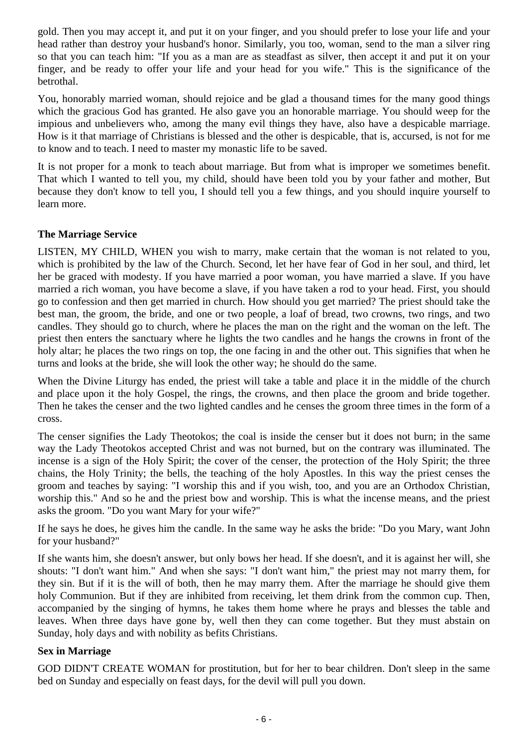gold. Then you may accept it, and put it on your finger, and you should prefer to lose your life and your head rather than destroy your husband's honor. Similarly, you too, woman, send to the man a silver ring so that you can teach him: "If you as a man are as steadfast as silver, then accept it and put it on your finger, and be ready to offer your life and your head for you wife." This is the significance of the betrothal.

You, honorably married woman, should rejoice and be glad a thousand times for the many good things which the gracious God has granted. He also gave you an honorable marriage. You should weep for the impious and unbelievers who, among the many evil things they have, also have a despicable marriage. How is it that marriage of Christians is blessed and the other is despicable, that is, accursed, is not for me to know and to teach. I need to master my monastic life to be saved.

It is not proper for a monk to teach about marriage. But from what is improper we sometimes benefit. That which I wanted to tell you, my child, should have been told you by your father and mother, But because they don't know to tell you, I should tell you a few things, and you should inquire yourself to learn more.

### **The Marriage Service**

LISTEN, MY CHILD, WHEN you wish to marry, make certain that the woman is not related to you, which is prohibited by the law of the Church. Second, let her have fear of God in her soul, and third, let her be graced with modesty. If you have married a poor woman, you have married a slave. If you have married a rich woman, you have become a slave, if you have taken a rod to your head. First, you should go to confession and then get married in church. How should you get married? The priest should take the best man, the groom, the bride, and one or two people, a loaf of bread, two crowns, two rings, and two candles. They should go to church, where he places the man on the right and the woman on the left. The priest then enters the sanctuary where he lights the two candles and he hangs the crowns in front of the holy altar; he places the two rings on top, the one facing in and the other out. This signifies that when he turns and looks at the bride, she will look the other way; he should do the same.

When the Divine Liturgy has ended, the priest will take a table and place it in the middle of the church and place upon it the holy Gospel, the rings, the crowns, and then place the groom and bride together. Then he takes the censer and the two lighted candles and he censes the groom three times in the form of a cross.

The censer signifies the Lady Theotokos; the coal is inside the censer but it does not burn; in the same way the Lady Theotokos accepted Christ and was not burned, but on the contrary was illuminated. The incense is a sign of the Holy Spirit; the cover of the censer, the protection of the Holy Spirit; the three chains, the Holy Trinity; the bells, the teaching of the holy Apostles. In this way the priest censes the groom and teaches by saying: "I worship this and if you wish, too, and you are an Orthodox Christian, worship this." And so he and the priest bow and worship. This is what the incense means, and the priest asks the groom. "Do you want Mary for your wife?"

If he says he does, he gives him the candle. In the same way he asks the bride: "Do you Mary, want John for your husband?"

If she wants him, she doesn't answer, but only bows her head. If she doesn't, and it is against her will, she shouts: "I don't want him." And when she says: "I don't want him," the priest may not marry them, for they sin. But if it is the will of both, then he may marry them. After the marriage he should give them holy Communion. But if they are inhibited from receiving, let them drink from the common cup. Then, accompanied by the singing of hymns, he takes them home where he prays and blesses the table and leaves. When three days have gone by, well then they can come together. But they must abstain on Sunday, holy days and with nobility as befits Christians.

### **Sex in Marriage**

GOD DIDN'T CREATE WOMAN for prostitution, but for her to bear children. Don't sleep in the same bed on Sunday and especially on feast days, for the devil will pull you down.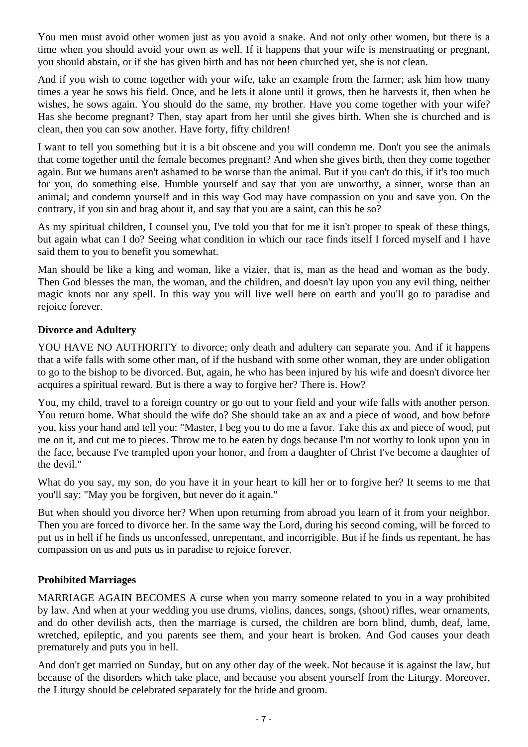You men must avoid other women just as you avoid a snake. And not only other women, but there is a time when you should avoid your own as well. If it happens that your wife is menstruating or pregnant, you should abstain, or if she has given birth and has not been churched yet, she is not clean.

And if you wish to come together with your wife, take an example from the farmer; ask him how many times a year he sows his field. Once, and he lets it alone until it grows, then he harvests it, then when he wishes, he sows again. You should do the same, my brother. Have you come together with your wife? Has she become pregnant? Then, stay apart from her until she gives birth. When she is churched and is clean, then you can sow another. Have forty, fifty children!

I want to tell you something but it is a bit obscene and you will condemn me. Don't you see the animals that come together until the female becomes pregnant? And when she gives birth, then they come together again. But we humans aren't ashamed to be worse than the animal. But if you can't do this, if it's too much for you, do something else. Humble yourself and say that you are unworthy, a sinner, worse than an animal; and condemn yourself and in this way God may have compassion on you and save you. On the contrary, if you sin and brag about it, and say that you are a saint, can this be so?

As my spiritual children, I counsel you, I've told you that for me it isn't proper to speak of these things, but again what can I do? Seeing what condition in which our race finds itself I forced myself and I have said them to you to benefit you somewhat.

Man should be like a king and woman, like a vizier, that is, man as the head and woman as the body. Then God blesses the man, the woman, and the children, and doesn't lay upon you any evil thing, neither magic knots nor any spell. In this way you will live well here on earth and you'll go to paradise and rejoice forever.

### **Divorce and Adultery**

YOU HAVE NO AUTHORITY to divorce; only death and adultery can separate you. And if it happens that a wife falls with some other man, of if the husband with some other woman, they are under obligation to go to the bishop to be divorced. But, again, he who has been injured by his wife and doesn't divorce her acquires a spiritual reward. But is there a way to forgive her? There is. How?

You, my child, travel to a foreign country or go out to your field and your wife falls with another person. You return home. What should the wife do? She should take an ax and a piece of wood, and bow before you, kiss your hand and tell you: "Master, I beg you to do me a favor. Take this ax and piece of wood, put me on it, and cut me to pieces. Throw me to be eaten by dogs because I'm not worthy to look upon you in the face, because I've trampled upon your honor, and from a daughter of Christ I've become a daughter of the devil."

What do you say, my son, do you have it in your heart to kill her or to forgive her? It seems to me that you'll say: "May you be forgiven, but never do it again."

But when should you divorce her? When upon returning from abroad you learn of it from your neighbor. Then you are forced to divorce her. In the same way the Lord, during his second coming, will be forced to put us in hell if he finds us unconfessed, unrepentant, and incorrigible. But if he finds us repentant, he has compassion on us and puts us in paradise to rejoice forever.

### **Prohibited Marriages**

MARRIAGE AGAIN BECOMES A curse when you marry someone related to you in a way prohibited by law. And when at your wedding you use drums, violins, dances, songs, (shoot) rifles, wear ornaments, and do other devilish acts, then the marriage is cursed, the children are born blind, dumb, deaf, lame, wretched, epileptic, and you parents see them, and your heart is broken. And God causes your death prematurely and puts you in hell.

And don't get married on Sunday, but on any other day of the week. Not because it is against the law, but because of the disorders which take place, and because you absent yourself from the Liturgy. Moreover, the Liturgy should be celebrated separately for the bride and groom.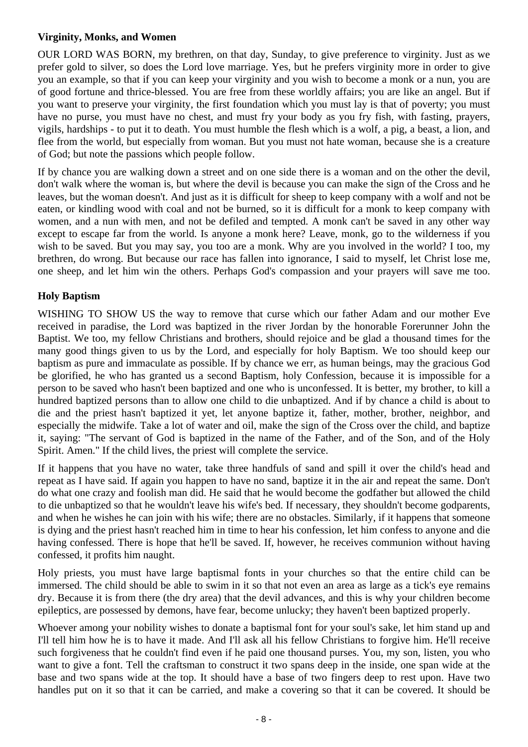### **Virginity, Monks, and Women**

OUR LORD WAS BORN, my brethren, on that day, Sunday, to give preference to virginity. Just as we prefer gold to silver, so does the Lord love marriage. Yes, but he prefers virginity more in order to give you an example, so that if you can keep your virginity and you wish to become a monk or a nun, you are of good fortune and thrice-blessed. You are free from these worldly affairs; you are like an angel. But if you want to preserve your virginity, the first foundation which you must lay is that of poverty; you must have no purse, you must have no chest, and must fry your body as you fry fish, with fasting, prayers, vigils, hardships - to put it to death. You must humble the flesh which is a wolf, a pig, a beast, a lion, and flee from the world, but especially from woman. But you must not hate woman, because she is a creature of God; but note the passions which people follow.

If by chance you are walking down a street and on one side there is a woman and on the other the devil, don't walk where the woman is, but where the devil is because you can make the sign of the Cross and he leaves, but the woman doesn't. And just as it is difficult for sheep to keep company with a wolf and not be eaten, or kindling wood with coal and not be burned, so it is difficult for a monk to keep company with women, and a nun with men, and not be defiled and tempted. A monk can't be saved in any other way except to escape far from the world. Is anyone a monk here? Leave, monk, go to the wilderness if you wish to be saved. But you may say, you too are a monk. Why are you involved in the world? I too, my brethren, do wrong. But because our race has fallen into ignorance, I said to myself, let Christ lose me, one sheep, and let him win the others. Perhaps God's compassion and your prayers will save me too.

# **Holy Baptism**

WISHING TO SHOW US the way to remove that curse which our father Adam and our mother Eve received in paradise, the Lord was baptized in the river Jordan by the honorable Forerunner John the Baptist. We too, my fellow Christians and brothers, should rejoice and be glad a thousand times for the many good things given to us by the Lord, and especially for holy Baptism. We too should keep our baptism as pure and immaculate as possible. If by chance we err, as human beings, may the gracious God be glorified, he who has granted us a second Baptism, holy Confession, because it is impossible for a person to be saved who hasn't been baptized and one who is unconfessed. It is better, my brother, to kill a hundred baptized persons than to allow one child to die unbaptized. And if by chance a child is about to die and the priest hasn't baptized it yet, let anyone baptize it, father, mother, brother, neighbor, and especially the midwife. Take a lot of water and oil, make the sign of the Cross over the child, and baptize it, saying: "The servant of God is baptized in the name of the Father, and of the Son, and of the Holy Spirit. Amen." If the child lives, the priest will complete the service.

If it happens that you have no water, take three handfuls of sand and spill it over the child's head and repeat as I have said. If again you happen to have no sand, baptize it in the air and repeat the same. Don't do what one crazy and foolish man did. He said that he would become the godfather but allowed the child to die unbaptized so that he wouldn't leave his wife's bed. If necessary, they shouldn't become godparents, and when he wishes he can join with his wife; there are no obstacles. Similarly, if it happens that someone is dying and the priest hasn't reached him in time to hear his confession, let him confess to anyone and die having confessed. There is hope that he'll be saved. If, however, he receives communion without having confessed, it profits him naught.

Holy priests, you must have large baptismal fonts in your churches so that the entire child can be immersed. The child should be able to swim in it so that not even an area as large as a tick's eye remains dry. Because it is from there (the dry area) that the devil advances, and this is why your children become epileptics, are possessed by demons, have fear, become unlucky; they haven't been baptized properly.

Whoever among your nobility wishes to donate a baptismal font for your soul's sake, let him stand up and I'll tell him how he is to have it made. And I'll ask all his fellow Christians to forgive him. He'll receive such forgiveness that he couldn't find even if he paid one thousand purses. You, my son, listen, you who want to give a font. Tell the craftsman to construct it two spans deep in the inside, one span wide at the base and two spans wide at the top. It should have a base of two fingers deep to rest upon. Have two handles put on it so that it can be carried, and make a covering so that it can be covered. It should be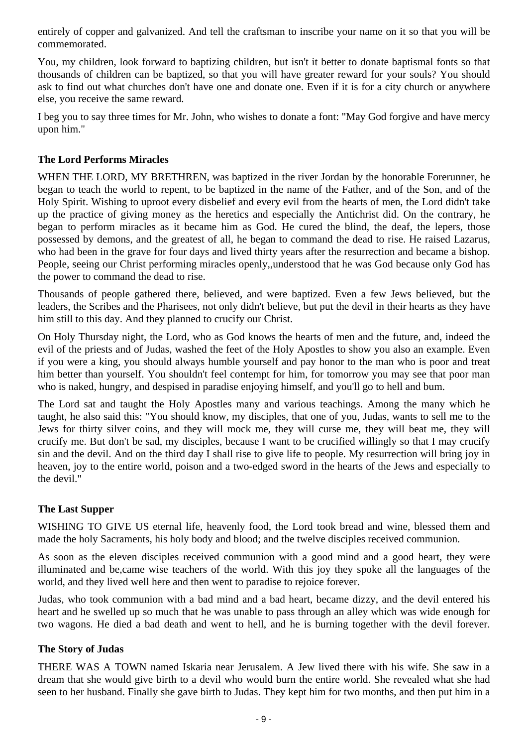entirely of copper and galvanized. And tell the craftsman to inscribe your name on it so that you will be commemorated.

You, my children, look forward to baptizing children, but isn't it better to donate baptismal fonts so that thousands of children can be baptized, so that you will have greater reward for your souls? You should ask to find out what churches don't have one and donate one. Even if it is for a city church or anywhere else, you receive the same reward.

I beg you to say three times for Mr. John, who wishes to donate a font: "May God forgive and have mercy upon him."

### **The Lord Performs Miracles**

WHEN THE LORD, MY BRETHREN, was baptized in the river Jordan by the honorable Forerunner, he began to teach the world to repent, to be baptized in the name of the Father, and of the Son, and of the Holy Spirit. Wishing to uproot every disbelief and every evil from the hearts of men, the Lord didn't take up the practice of giving money as the heretics and especially the Antichrist did. On the contrary, he began to perform miracles as it became him as God. He cured the blind, the deaf, the lepers, those possessed by demons, and the greatest of all, he began to command the dead to rise. He raised Lazarus, who had been in the grave for four days and lived thirty years after the resurrection and became a bishop. People, seeing our Christ performing miracles openly,,understood that he was God because only God has the power to command the dead to rise.

Thousands of people gathered there, believed, and were baptized. Even a few Jews believed, but the leaders, the Scribes and the Pharisees, not only didn't believe, but put the devil in their hearts as they have him still to this day. And they planned to crucify our Christ.

On Holy Thursday night, the Lord, who as God knows the hearts of men and the future, and, indeed the evil of the priests and of Judas, washed the feet of the Holy Apostles to show you also an example. Even if you were a king, you should always humble yourself and pay honor to the man who is poor and treat him better than yourself. You shouldn't feel contempt for him, for tomorrow you may see that poor man who is naked, hungry, and despised in paradise enjoying himself, and you'll go to hell and bum.

The Lord sat and taught the Holy Apostles many and various teachings. Among the many which he taught, he also said this: "You should know, my disciples, that one of you, Judas, wants to sell me to the Jews for thirty silver coins, and they will mock me, they will curse me, they will beat me, they will crucify me. But don't be sad, my disciples, because I want to be crucified willingly so that I may crucify sin and the devil. And on the third day I shall rise to give life to people. My resurrection will bring joy in heaven, joy to the entire world, poison and a two-edged sword in the hearts of the Jews and especially to the devil."

### **The Last Supper**

WISHING TO GIVE US eternal life, heavenly food, the Lord took bread and wine, blessed them and made the holy Sacraments, his holy body and blood; and the twelve disciples received communion.

As soon as the eleven disciples received communion with a good mind and a good heart, they were illuminated and be,came wise teachers of the world. With this joy they spoke all the languages of the world, and they lived well here and then went to paradise to rejoice forever.

Judas, who took communion with a bad mind and a bad heart, became dizzy, and the devil entered his heart and he swelled up so much that he was unable to pass through an alley which was wide enough for two wagons. He died a bad death and went to hell, and he is burning together with the devil forever.

### **The Story of Judas**

THERE WAS A TOWN named Iskaria near Jerusalem. A Jew lived there with his wife. She saw in a dream that she would give birth to a devil who would burn the entire world. She revealed what she had seen to her husband. Finally she gave birth to Judas. They kept him for two months, and then put him in a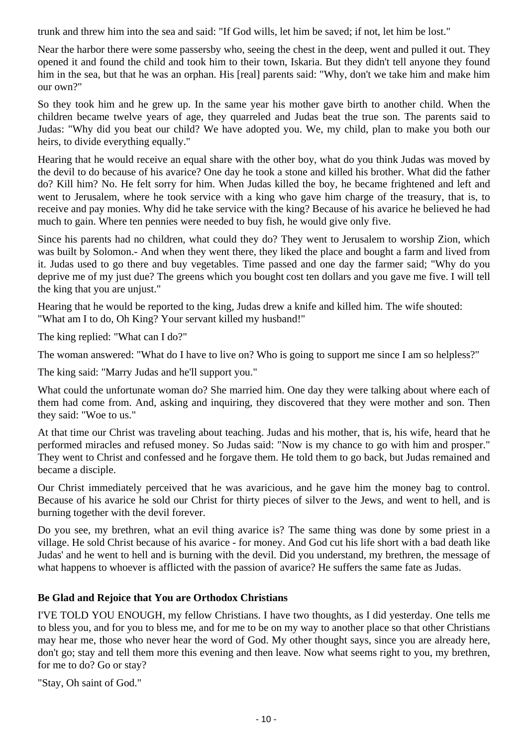trunk and threw him into the sea and said: "If God wills, let him be saved; if not, let him be lost."

Near the harbor there were some passersby who, seeing the chest in the deep, went and pulled it out. They opened it and found the child and took him to their town, Iskaria. But they didn't tell anyone they found him in the sea, but that he was an orphan. His [real] parents said: "Why, don't we take him and make him our own?"

So they took him and he grew up. In the same year his mother gave birth to another child. When the children became twelve years of age, they quarreled and Judas beat the true son. The parents said to Judas: "Why did you beat our child? We have adopted you. We, my child, plan to make you both our heirs, to divide everything equally."

Hearing that he would receive an equal share with the other boy, what do you think Judas was moved by the devil to do because of his avarice? One day he took a stone and killed his brother. What did the father do? Kill him? No. He felt sorry for him. When Judas killed the boy, he became frightened and left and went to Jerusalem, where he took service with a king who gave him charge of the treasury, that is, to receive and pay monies. Why did he take service with the king? Because of his avarice he believed he had much to gain. Where ten pennies were needed to buy fish, he would give only five.

Since his parents had no children, what could they do? They went to Jerusalem to worship Zion, which was built by Solomon.- And when they went there, they liked the place and bought a farm and lived from it. Judas used to go there and buy vegetables. Time passed and one day the farmer said; "Why do you deprive me of my just due? The greens which you bought cost ten dollars and you gave me five. I will tell the king that you are unjust."

Hearing that he would be reported to the king, Judas drew a knife and killed him. The wife shouted: "What am I to do, Oh King? Your servant killed my husband!"

The king replied: "What can I do?"

The woman answered: "What do I have to live on? Who is going to support me since I am so helpless?"

The king said: "Marry Judas and he'll support you."

What could the unfortunate woman do? She married him. One day they were talking about where each of them had come from. And, asking and inquiring, they discovered that they were mother and son. Then they said: "Woe to us."

At that time our Christ was traveling about teaching. Judas and his mother, that is, his wife, heard that he performed miracles and refused money. So Judas said: "Now is my chance to go with him and prosper." They went to Christ and confessed and he forgave them. He told them to go back, but Judas remained and became a disciple.

Our Christ immediately perceived that he was avaricious, and he gave him the money bag to control. Because of his avarice he sold our Christ for thirty pieces of silver to the Jews, and went to hell, and is burning together with the devil forever.

Do you see, my brethren, what an evil thing avarice is? The same thing was done by some priest in a village. He sold Christ because of his avarice - for money. And God cut his life short with a bad death like Judas' and he went to hell and is burning with the devil. Did you understand, my brethren, the message of what happens to whoever is afflicted with the passion of avarice? He suffers the same fate as Judas.

### **Be Glad and Rejoice that You are Orthodox Christians**

I'VE TOLD YOU ENOUGH, my fellow Christians. I have two thoughts, as I did yesterday. One tells me to bless you, and for you to bless me, and for me to be on my way to another place so that other Christians may hear me, those who never hear the word of God. My other thought says, since you are already here, don't go; stay and tell them more this evening and then leave. Now what seems right to you, my brethren, for me to do? Go or stay?

"Stay, Oh saint of God."